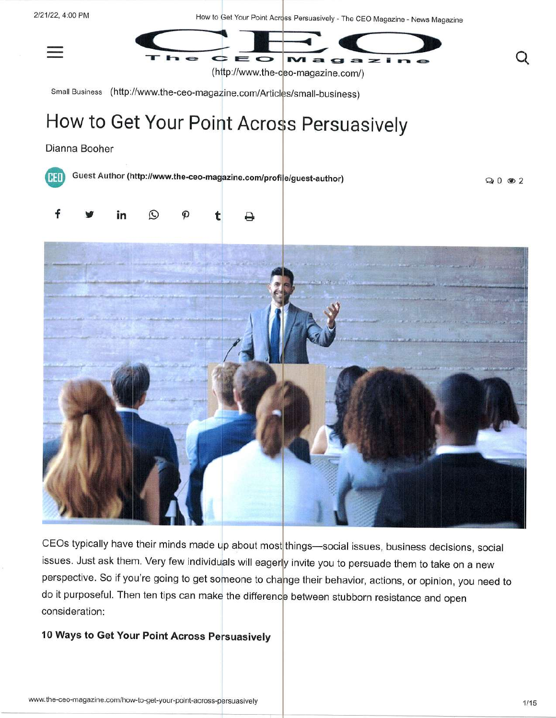

CEOs typically have their minds made up about most things-social issues, business decisions, social issues. Just ask them. Very few individuals will eagerly invite you to persuade them to take on a new perspective. So if you're going to get someone to change their behavior, actions, or opinion, you need to do it purposeful. Then ten tips can make the difference between stubborn resistance and open consideration:

## 10 Ways to Get Your Point Across Persuasively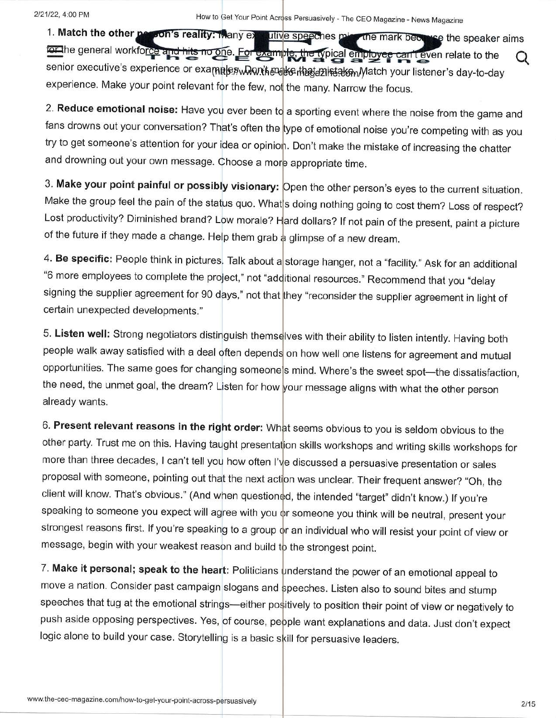1. Match the other person's reality: Many ex-IOL the general workforce and hits no one. For example, the typical employee senior executive's experience or ex experience. Make your point relevant for the few, not the many. Narrow the focus. utive speeches missing the mark because the speaker aims  $\mu$  provee can te Match your listener's day-to-day can t even relate to the

2. **Reduce emotional noise:** Have you ever been to a sporting event where the noise from the game and fans drowns out your conversation? That's often the <mark>type of emotional noise you're competing with as you</mark> try to get someone's attention for your idea or opinion. Don't make the mistake of increasing the chatter and drowning out your own message. Choose a mor<mark>e appropriate time.</mark>

3. **Make your point painful or possibly visionary:** Open the other person's eyes to the current situation Make the group feel the pain of the stat<mark>us quo. What</mark> s doing nothing going to cost them? Loss of respect? Lost productivity? Diminished brand? Low morale? H<mark>ard dollars? If not pain of the present, paint</mark> a picture of the future if they made a change. Help them grab a glimpse of a new dream.

4**. Be specific:** People think in pictures. Talk about a storage hanger, not a "facility." Ask for an additiona "6 more employees to complete the project," not "add<mark>itional resources." Recommend that you "delay</mark> signing the supplier agreement for 90 days," not that <mark>they "reconsider the supplier agreement in light of</mark> certain unexpected developments. "

5. **Listen well:** Strong negotiators distinguish themse<mark>lves with their ability to listen intently. Having both</mark> people walk away satisfied with a deal often depends on how well one listens for agreement and mutual opportunities. The same goes for changing someone'<mark>s mind. Where's the sweet spot—the dissatisfaction</mark>, the need, the unmet goal, the dream? Listen for how <mark>your message aligns with what the other perso</mark>n already wants.

6. **Present relevant reasons in the right order:** Wh<mark>at seems obvious to you is seldom obvious to the</mark> other party. Trust me on this. Having taught presentat<mark>ion skills workshops and writing skills workshops for</mark> more than three decades, I can't tell you how often I'v<mark>e discussed a persuasive presentation or sale</mark>s proposal with someone, pointing out tha<mark>t the next acti</mark>on was unclear. Their frequent answer? "Oh, the client will know. That's obvious." (And when questioned, the intended "target" didn't know.) If you're speaking to someone you expect will ag<mark>ree with you o</mark>r someone you think will be neutral, present your strongest reasons first. If you're speaking to a group o<mark>r an individual who will resist your point of view or</mark> message, begin with your weakest reason and build to the strongest point.

7. **Make it personal; speak to the heart:** Politicians understand the power of an emotional appeal to move a nation. Consider past campaign slogans and speeches. Listen also to sound bites and stump speeches that tug at the emotional strings—either pos<mark>itively to position their point of view or negatively to</mark> push aside opposing perspectives. Yes, <mark>of course, people want explanations and data. Just don't expect</mark> logic alone to build your case. Storytelling is a basic s<mark>kill for persuasive leaders</mark>.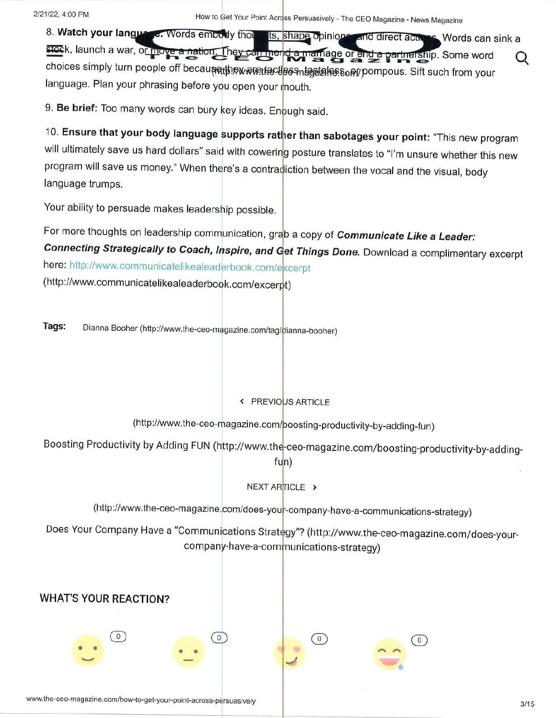8. Watch your language. Words embody thou ts, shape opinions and direct acts Nords can sink a stock, launch a war, or move a nation. They can merid a marriage or end a partnership. Some word Q choices simply turn people off becaune the wave the cless missing he son yompous. Sift such from your language. Plan your phrasing before you open your mouth.

9. Be brief: Too many words can bury key ideas. Enough said.

10. Ensure that your body language supports rather than sabotages your point: "This new program will ultimately save us hard dollars" said with cowering posture translates to "I'm unsure whether this new program will save us money." When there's a contradiction between the vocal and the visual, body language trumps.

Your ability to persuade makes leadership possible.

For more thoughts on leadership communication, grab a copy of Communicate Like a Leader: Connecting Strategically to Coach, Inspire, and Get Things Done. Download a complimentary excerpt here: http://www.communicatelikealeaderbook.com/excerpt

(http://www.communicatelikealeaderbook.com/excerpt)

Tags: Dianna Booher (http://www.the-ceo-magazine.com/tag/dianna-booher)

## « PREVIOUS ARTICLE

(http://www.the-ceo-magazine.com/poosting-productivity-by-adding-fun)

Boosting Productivity by Adding FUN (http://www.the-ceo-magazine.com/boosting-productivity-by-adding-

## $fun)$

NEXT ARTICLE >

(http://www.the-ceo-magazine.com/does-your-company-have-a-communications-strategy)

Does Your Company Have a "Communications Strategy"? (http://www.the-ceo-magazine.com/does-yourcompany-have-a-communications-strategy)